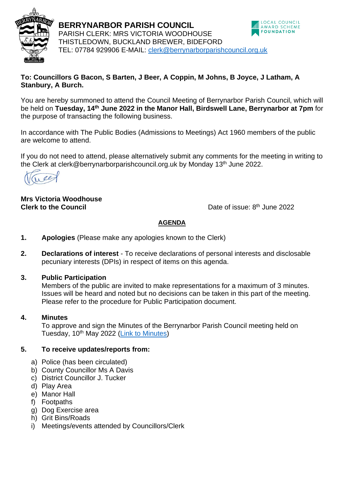

LOCAL COUNCIL<br>AWARD SCHEME **BERRYNARBOR PARISH COUNCIL FOUNDATION** PARISH CLERK: MRS VICTORIA WOODHOUSE THISTLEDOWN, BUCKLAND BREWER, BIDEFORD TEL: 07784 929906 E-MAIL: [clerk@berrynarborparishcouncil.org.uk](mailto:clerk@berrynarborparishcouncil.org.uk)

### **To: Councillors G Bacon, S Barten, J Beer, A Coppin, M Johns, B Joyce, J Latham, A Stanbury, A Burch.**

You are hereby summoned to attend the Council Meeting of Berrynarbor Parish Council, which will be held on **Tuesday, 14th June 2022 in the Manor Hall, Birdswell Lane, Berrynarbor at 7pm** for the purpose of transacting the following business.

In accordance with The Public Bodies (Admissions to Meetings) Act 1960 members of the public are welcome to attend.

If you do not need to attend, please alternatively submit any comments for the meeting in writing to the Clerk at clerk@berrynarborparishcouncil.org.uk by Monday 13<sup>th</sup> June 2022.

ree

#### **Mrs Victoria Woodhouse Clerk to the Council**

Date of issue: 8<sup>th</sup> June 2022

# **AGENDA**

- **1. Apologies** (Please make any apologies known to the Clerk)
- **2. Declarations of interest**  To receive declarations of personal interests and disclosable pecuniary interests (DPIs) in respect of items on this agenda.

### **3. Public Participation**

Members of the public are invited to make representations for a maximum of 3 minutes. Issues will be heard and noted but no decisions can be taken in this part of the meeting. Please refer to the procedure for Public Participation document.

### **4. Minutes**

To approve and sign the Minutes of the Berrynarbor Parish Council meeting held on Tuesday, 10<sup>th</sup> May 2022 [\(Link to Minutes\)](https://www.berrynarborparishcouncil.org.uk/meetings.php)

# **5. To receive updates/reports from:**

- a) Police (has been circulated)
- b) County Councillor Ms A Davis
- c) District Councillor J. Tucker
- d) Play Area
- e) Manor Hall
- f) Footpaths
- g) Dog Exercise area
- h) Grit Bins/Roads
- i) Meetings/events attended by Councillors/Clerk